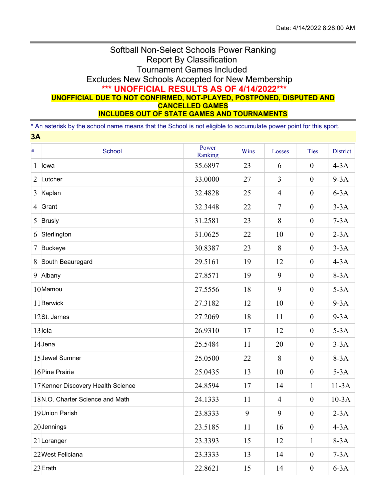## Softball Non-Select Schools Power Ranking Report By Classification Tournament Games Included Excludes New Schools Accepted for New Membership **\*\*\* UNOFFICIAL RESULTS AS OF 4/14/2022\*\*\* UNOFFICIAL DUE TO NOT CONFIRMED, NOT-PLAYED, POSTPONED, DISPUTED AND CANCELLED GAMES INCLUDES OUT OF STATE GAMES AND TOURNAMENTS**

\* An asterisk by the school name means that the School is not eligible to accumulate power point for this sport.

| 3A             |                                    |                  |        |                |                  |                 |
|----------------|------------------------------------|------------------|--------|----------------|------------------|-----------------|
| $\#$           | <b>School</b>                      | Power<br>Ranking | Wins   | Losses         | <b>Ties</b>      | <b>District</b> |
| $\mathbf 1$    | lowa                               | 35.6897          | 23     | 6              | $\boldsymbol{0}$ | $4-3A$          |
| $\overline{2}$ | Lutcher                            | 33.0000          | 27     | $\overline{3}$ | $\boldsymbol{0}$ | $9-3A$          |
| 3              | Kaplan                             | 32.4828          | 25     | $\overline{4}$ | $\boldsymbol{0}$ | $6-3A$          |
| $\overline{4}$ | Grant                              | 32.3448          | 22     | $\overline{7}$ | $\boldsymbol{0}$ | $3-3A$          |
| 5              | <b>Brusly</b>                      | 31.2581          | 23     | 8              | $\mathbf{0}$     | $7-3A$          |
| 6              | Sterlington                        | 31.0625          | 22     | 10             | $\boldsymbol{0}$ | $2-3A$          |
| 7              | <b>Buckeye</b>                     | 30.8387          | 23     | 8              | $\boldsymbol{0}$ | $3-3A$          |
| 8              | South Beauregard                   | 29.5161          | 19     | 12             | $\boldsymbol{0}$ | $4-3A$          |
| 9              | Albany                             | 27.8571          | 19     | 9              | $\boldsymbol{0}$ | $8-3A$          |
|                | 10Mamou                            | 27.5556          | 18     | 9              | $\boldsymbol{0}$ | $5-3A$          |
|                | 11 Berwick                         | 27.3182          | 12     | 10             | $\boldsymbol{0}$ | $9-3A$          |
|                | 12St. James                        | 27.2069          | 18     | 11             | $\boldsymbol{0}$ | $9-3A$          |
|                | 13lota                             | 26.9310          | 17     | 12             | $\mathbf{0}$     | $5-3A$          |
|                | 14Jena                             | 25.5484          | 11     | 20             | $\boldsymbol{0}$ | $3-3A$          |
|                | 15 Jewel Sumner                    | 25.0500          | 22     | 8              | $\boldsymbol{0}$ | $8-3A$          |
|                | 16 Pine Prairie                    | 25.0435          | 13     | 10             | $\boldsymbol{0}$ | $5-3A$          |
|                | 17 Kenner Discovery Health Science | 24.8594          | 17     | 14             | $\mathbf{1}$     | $11-3A$         |
|                | 18N.O. Charter Science and Math    | 24.1333          | 11     | $\overline{4}$ | $\boldsymbol{0}$ | $10-3A$         |
|                | 19 Union Parish                    | 23.8333          | 9      | 9              | $\boldsymbol{0}$ | $2-3A$          |
|                | 20Jennings                         | 23.5185          | $11\,$ | 16             | $\boldsymbol{0}$ | $4-3A$          |
|                | $21$ Loranger                      | 23.3393          | 15     | 12             | $\mathbf{1}$     | $8-3A$          |
|                | 22West Feliciana                   | 23.3333          | 13     | 14             | $\boldsymbol{0}$ | $7-3A$          |
|                | 23Erath                            | 22.8621          | 15     | 14             | $\boldsymbol{0}$ | $6-3A$          |